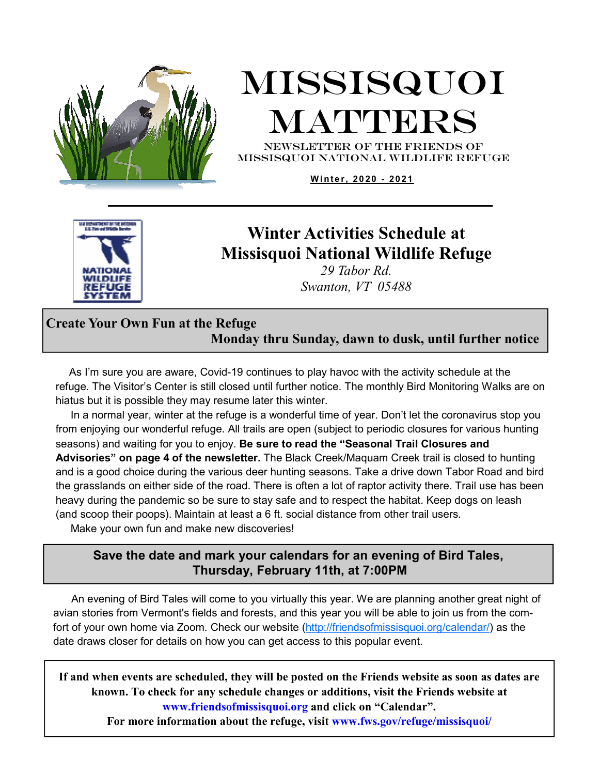

# Missisquoi MATTERS

NEWSLETTER OF THE Friends of missisquoi national Wildlife refuge

Winter, 2020 - 2021



### **Winter Activities Schedule at Missisquoi National Wildlife Refuge**

*29 Tabor Rd. Swanton, VT 05488*

### **Create Your Own Fun at the Refuge Monday thru Sunday, dawn to dusk, until further notice**

 As I'm sure you are aware, Covid-19 continues to play havoc with the activity schedule at the refuge. The Visitor's Center is still closed until further notice. The monthly Bird Monitoring Walks are on hiatus but it is possible they may resume later this winter.

 In a normal year, winter at the refuge is a wonderful time of year. Don't let the coronavirus stop you from enjoying our wonderful refuge. All trails are open (subject to periodic closures for various hunting seasons) and waiting for you to enjoy. **Be sure to read the "Seasonal Trail Closures and Advisories" on page 4 of the newsletter.** The Black Creek/Maquam Creek trail is closed to hunting and is a good choice during the various deer hunting seasons. Take a drive down Tabor Road and bird the grasslands on either side of the road. There is often a lot of raptor activity there. Trail use has been heavy during the pandemic so be sure to stay safe and to respect the habitat. Keep dogs on leash (and scoop their poops). Maintain at least a 6 ft. social distance from other trail users.

Make your own fun and make new discoveries!

### **Save the date and mark your calendars for an evening of Bird Tales, Thursday, February 11th, at 7:00PM**

 An evening of Bird Tales will come to you virtually this year. We are planning another great night of avian stories from Vermont's fields and forests, and this year you will be able to join us from the comfort of your own home via Zoom. Check our website (http://friendsofmissisquoi.org/calendar/) as the date draws closer for details on how you can get access to this popular event.

**If and when events are scheduled, they will be posted on the Friends website as soon as dates are known. To check for any schedule changes or additions, visit the Friends website at www.friendsofmissisquoi.org and click on "Calendar".** 

**For more information about the refuge, visit www.fws.gov/refuge/missisquoi/**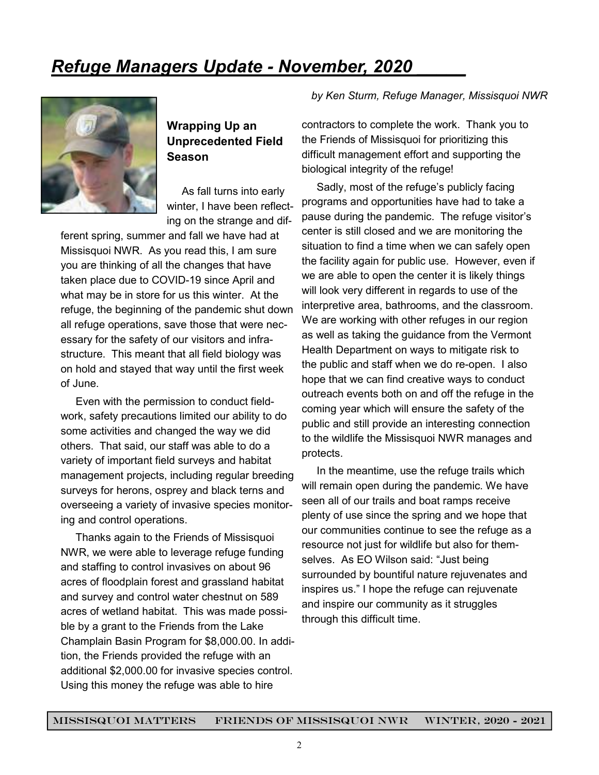# *Refuge Managers Update - November, 2020 \_\_\_\_\_*



### **Wrapping Up an Unprecedented Field Season**

 As fall turns into early winter, I have been reflecting on the strange and dif-

ferent spring, summer and fall we have had at Missisquoi NWR. As you read this, I am sure you are thinking of all the changes that have taken place due to COVID-19 since April and what may be in store for us this winter. At the refuge, the beginning of the pandemic shut down all refuge operations, save those that were necessary for the safety of our visitors and infrastructure. This meant that all field biology was on hold and stayed that way until the first week of June.

 Even with the permission to conduct fieldwork, safety precautions limited our ability to do some activities and changed the way we did others. That said, our staff was able to do a variety of important field surveys and habitat management projects, including regular breeding surveys for herons, osprey and black terns and overseeing a variety of invasive species monitoring and control operations.

 Thanks again to the Friends of Missisquoi NWR, we were able to leverage refuge funding and staffing to control invasives on about 96 acres of floodplain forest and grassland habitat and survey and control water chestnut on 589 acres of wetland habitat. This was made possible by a grant to the Friends from the Lake Champlain Basin Program for \$8,000.00. In addition, the Friends provided the refuge with an additional \$2,000.00 for invasive species control. Using this money the refuge was able to hire

#### *by Ken Sturm, Refuge Manager, Missisquoi NWR*

contractors to complete the work. Thank you to the Friends of Missisquoi for prioritizing this difficult management effort and supporting the biological integrity of the refuge!

 Sadly, most of the refuge's publicly facing programs and opportunities have had to take a pause during the pandemic. The refuge visitor's center is still closed and we are monitoring the situation to find a time when we can safely open the facility again for public use. However, even if we are able to open the center it is likely things will look very different in regards to use of the interpretive area, bathrooms, and the classroom. We are working with other refuges in our region as well as taking the guidance from the Vermont Health Department on ways to mitigate risk to the public and staff when we do re-open. I also hope that we can find creative ways to conduct outreach events both on and off the refuge in the coming year which will ensure the safety of the public and still provide an interesting connection to the wildlife the Missisquoi NWR manages and protects.

 In the meantime, use the refuge trails which will remain open during the pandemic. We have seen all of our trails and boat ramps receive plenty of use since the spring and we hope that our communities continue to see the refuge as a resource not just for wildlife but also for themselves. As EO Wilson said: "Just being surrounded by bountiful nature rejuvenates and inspires us." I hope the refuge can rejuvenate and inspire our community as it struggles through this difficult time.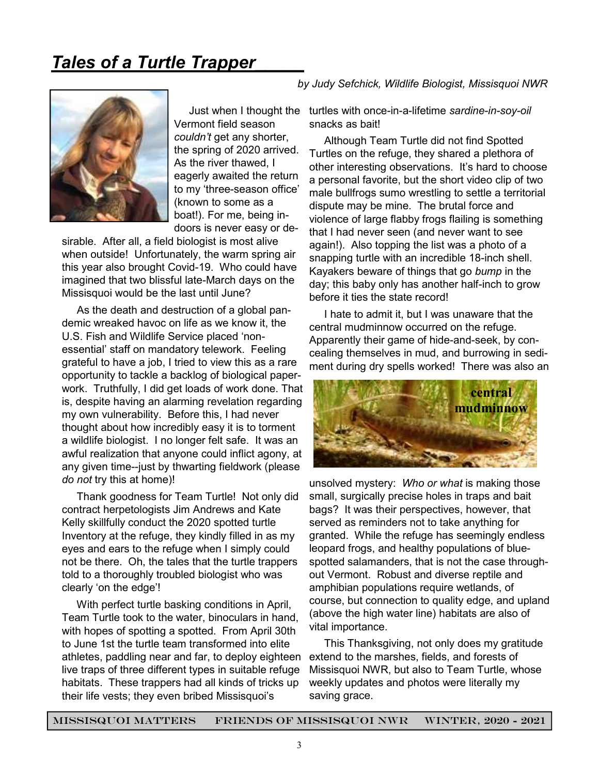## *Tales of a Turtle Trapper\_\_\_\_\_*



Vermont field season *couldn't* get any shorter, the spring of 2020 arrived. As the river thawed, I eagerly awaited the return to my 'three-season office' (known to some as a boat!). For me, being indoors is never easy or de-

sirable. After all, a field biologist is most alive when outside! Unfortunately, the warm spring air this year also brought Covid-19. Who could have imagined that two blissful late-March days on the Missisquoi would be the last until June?

 As the death and destruction of a global pandemic wreaked havoc on life as we know it, the U.S. Fish and Wildlife Service placed 'nonessential' staff on mandatory telework. Feeling grateful to have a job, I tried to view this as a rare opportunity to tackle a backlog of biological paperwork. Truthfully, I did get loads of work done. That is, despite having an alarming revelation regarding my own vulnerability. Before this, I had never thought about how incredibly easy it is to torment a wildlife biologist. I no longer felt safe. It was an awful realization that anyone could inflict agony, at any given time--just by thwarting fieldwork (please *do not* try this at home)!

 Thank goodness for Team Turtle! Not only did contract herpetologists Jim Andrews and Kate Kelly skillfully conduct the 2020 spotted turtle Inventory at the refuge, they kindly filled in as my eyes and ears to the refuge when I simply could not be there. Oh, the tales that the turtle trappers told to a thoroughly troubled biologist who was clearly 'on the edge'!

 With perfect turtle basking conditions in April, Team Turtle took to the water, binoculars in hand, with hopes of spotting a spotted. From April 30th to June 1st the turtle team transformed into elite athletes, paddling near and far, to deploy eighteen live traps of three different types in suitable refuge habitats. These trappers had all kinds of tricks up their life vests; they even bribed Missisquoi's

#### *by Judy Sefchick, Wildlife Biologist, Missisquoi NWR*

 Just when I thought the turtles with once-in-a-lifetime *sardine-in-soy-oil* snacks as bait!

> Although Team Turtle did not find Spotted Turtles on the refuge, they shared a plethora of other interesting observations. It's hard to choose a personal favorite, but the short video clip of two male bullfrogs sumo wrestling to settle a territorial dispute may be mine. The brutal force and violence of large flabby frogs flailing is something that I had never seen (and never want to see again!). Also topping the list was a photo of a snapping turtle with an incredible 18-inch shell. Kayakers beware of things that go *bump* in the day; this baby only has another half-inch to grow before it ties the state record!

> I hate to admit it, but I was unaware that the central mudminnow occurred on the refuge. Apparently their game of hide-and-seek, by concealing themselves in mud, and burrowing in sediment during dry spells worked! There was also an



unsolved mystery: *Who or what* is making those small, surgically precise holes in traps and bait bags? It was their perspectives, however, that served as reminders not to take anything for granted. While the refuge has seemingly endless leopard frogs, and healthy populations of bluespotted salamanders, that is not the case throughout Vermont. Robust and diverse reptile and amphibian populations require wetlands, of course, but connection to quality edge, and upland (above the high water line) habitats are also of vital importance.

 This Thanksgiving, not only does my gratitude extend to the marshes, fields, and forests of Missisquoi NWR, but also to Team Turtle, whose weekly updates and photos were literally my saving grace.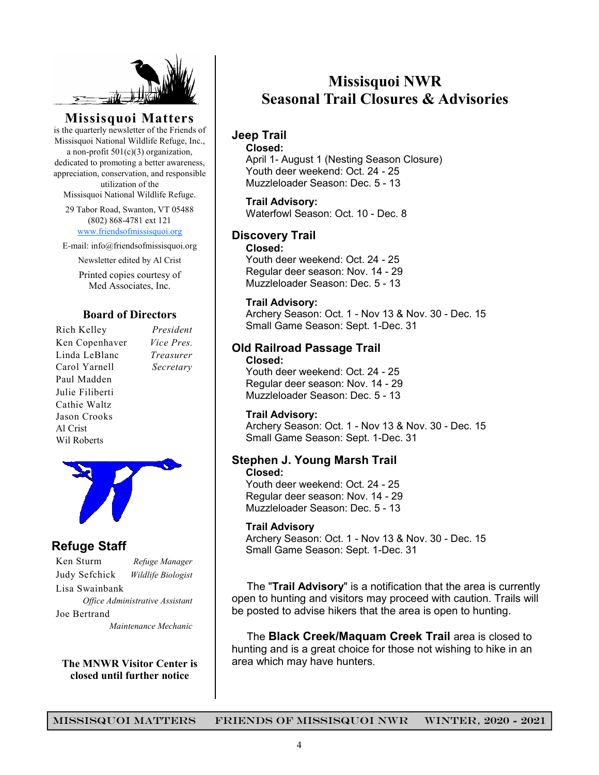

**Missisquoi Matters** 

is the quarterly newsletter of the Friends of Missisquoi National Wildlife Refuge, Inc., a non-profit  $501(c)(3)$  organization,

dedicated to promoting a better awareness, appreciation, conservation, and responsible utilization of the

Missisquoi National Wildlife Refuge.

29 Tabor Road, Swanton, VT 05488 (802) 868-4781 ext 121 www.friendsofmissisquoi.org

E-mail: info@friendsofmissisquoi.org

Newsletter edited by Al Crist

Printed copies courtesy of Med Associates, Inc.

#### **Board of Directors**

Rich Kelley *President* Ken Copenhaver *Vice Pres.* Linda LeBlanc *Treasurer* Carol Yarnell *Secretary*  Paul Madden Julie Filiberti Cathie Waltz Jason Crooks Al Crist Wil Roberts



### **Refuge Staff**

Ken Sturm *Refuge Manager* Judy Sefchick *Wildlife Biologist* Lisa Swainbank *Office Administrative Assistant*  Joe Bertrand  *Maintenance Mechanic* 

**The MNWR Visitor Center is closed until further notice** 

### **Missisquoi NWR Seasonal Trail Closures & Advisories**

#### **Jeep Trail**

#### **Closed:**

 April 1- August 1 (Nesting Season Closure) Youth deer weekend: Oct. 24 - 25 Muzzleloader Season: Dec. 5 - 13

#### **Trail Advisory:**

Waterfowl Season: Oct. 10 - Dec. 8

#### **Discovery Trail**

#### **Closed:**

Youth deer weekend: Oct. 24 - 25 Regular deer season: Nov. 14 - 29 Muzzleloader Season: Dec. 5 - 13

#### **Trail Advisory:**

 Archery Season: Oct. 1 - Nov 13 & Nov. 30 - Dec. 15 Small Game Season: Sept. 1-Dec. 31

#### **Old Railroad Passage Trail Closed:**

 Youth deer weekend: Oct. 24 - 25 Regular deer season: Nov. 14 - 29 Muzzleloader Season: Dec. 5 - 13

#### **Trail Advisory:**

Archery Season: Oct. 1 - Nov 13 & Nov. 30 - Dec. 15 Small Game Season: Sept. 1-Dec. 31

#### **Stephen J. Young Marsh Trail Closed:**

 Youth deer weekend: Oct. 24 - 25 Regular deer season: Nov. 14 - 29 Muzzleloader Season: Dec. 5 - 13

#### **Trail Advisory**

 Archery Season: Oct. 1 - Nov 13 & Nov. 30 - Dec. 15 Small Game Season: Sept. 1-Dec. 31

 The "**Trail Advisory**" is a notification that the area is currently open to hunting and visitors may proceed with caution. Trails will be posted to advise hikers that the area is open to hunting.

 The **Black Creek/Maquam Creek Trail** area is closed to hunting and is a great choice for those not wishing to hike in an area which may have hunters.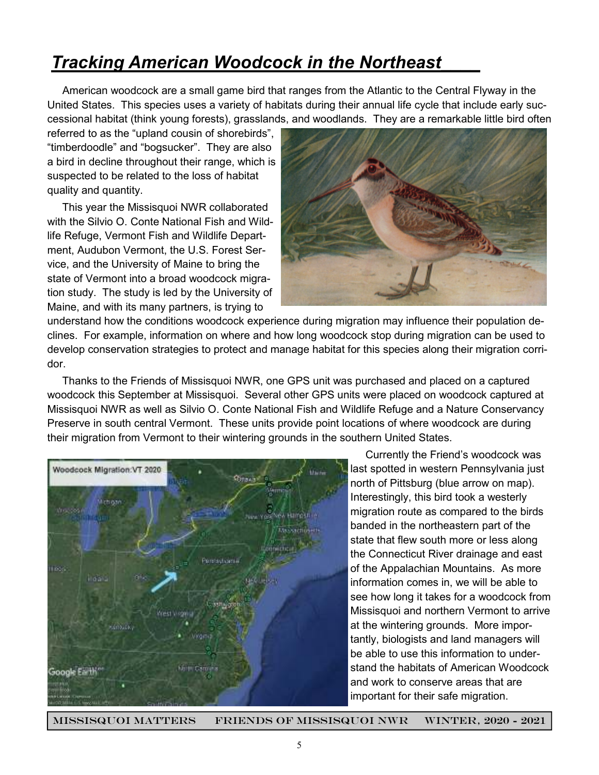### *Tracking American Woodcock in the Northeast\_\_\_\_*

 American woodcock are a small game bird that ranges from the Atlantic to the Central Flyway in the United States. This species uses a variety of habitats during their annual life cycle that include early successional habitat (think young forests), grasslands, and woodlands. They are a remarkable little bird often

referred to as the "upland cousin of shorebirds", "timberdoodle" and "bogsucker". They are also a bird in decline throughout their range, which is suspected to be related to the loss of habitat quality and quantity.

 This year the Missisquoi NWR collaborated with the Silvio O. Conte National Fish and Wildlife Refuge, Vermont Fish and Wildlife Department, Audubon Vermont, the U.S. Forest Service, and the University of Maine to bring the state of Vermont into a broad woodcock migration study. The study is led by the University of Maine, and with its many partners, is trying to



understand how the conditions woodcock experience during migration may influence their population declines. For example, information on where and how long woodcock stop during migration can be used to develop conservation strategies to protect and manage habitat for this species along their migration corridor.

 Thanks to the Friends of Missisquoi NWR, one GPS unit was purchased and placed on a captured woodcock this September at Missisquoi. Several other GPS units were placed on woodcock captured at Missisquoi NWR as well as Silvio O. Conte National Fish and Wildlife Refuge and a Nature Conservancy Preserve in south central Vermont. These units provide point locations of where woodcock are during their migration from Vermont to their wintering grounds in the southern United States.



 Currently the Friend's woodcock was last spotted in western Pennsylvania just north of Pittsburg (blue arrow on map). Interestingly, this bird took a westerly migration route as compared to the birds banded in the northeastern part of the state that flew south more or less along the Connecticut River drainage and east of the Appalachian Mountains. As more information comes in, we will be able to see how long it takes for a woodcock from Missisquoi and northern Vermont to arrive at the wintering grounds. More importantly, biologists and land managers will be able to use this information to understand the habitats of American Woodcock and work to conserve areas that are important for their safe migration.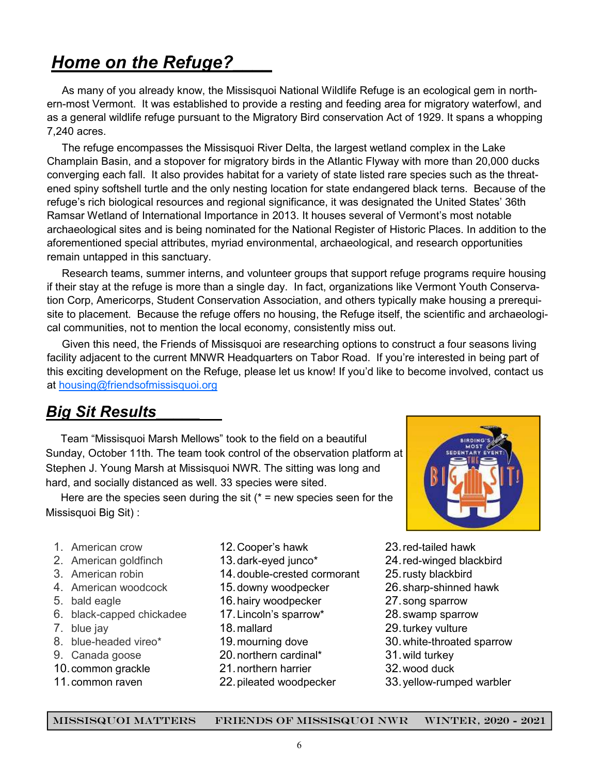# **Home on the Refuge?**

 As many of you already know, the Missisquoi National Wildlife Refuge is an ecological gem in northern-most Vermont. It was established to provide a resting and feeding area for migratory waterfowl, and as a general wildlife refuge pursuant to the Migratory Bird conservation Act of 1929. It spans a whopping 7,240 acres.

 The refuge encompasses the Missisquoi River Delta, the largest wetland complex in the Lake Champlain Basin, and a stopover for migratory birds in the Atlantic Flyway with more than 20,000 ducks converging each fall. It also provides habitat for a variety of state listed rare species such as the threatened spiny softshell turtle and the only nesting location for state endangered black terns. Because of the refuge's rich biological resources and regional significance, it was designated the United States' 36th Ramsar Wetland of International Importance in 2013. It houses several of Vermont's most notable archaeological sites and is being nominated for the National Register of Historic Places. In addition to the aforementioned special attributes, myriad environmental, archaeological, and research opportunities remain untapped in this sanctuary.

 Research teams, summer interns, and volunteer groups that support refuge programs require housing if their stay at the refuge is more than a single day. In fact, organizations like Vermont Youth Conservation Corp, Americorps, Student Conservation Association, and others typically make housing a prerequisite to placement. Because the refuge offers no housing, the Refuge itself, the scientific and archaeological communities, not to mention the local economy, consistently miss out.

 Given this need, the Friends of Missisquoi are researching options to construct a four seasons living facility adjacent to the current MNWR Headquarters on Tabor Road. If you're interested in being part of this exciting development on the Refuge, please let us know! If you'd like to become involved, contact us at housing@friendsofmissisquoi.org

### *Big Sit Results\_\_\_\_\_*

 Team "Missisquoi Marsh Mellows" took to the field on a beautiful Sunday, October 11th. The team took control of the observation platform at Stephen J. Young Marsh at Missisquoi NWR. The sitting was long and hard, and socially distanced as well. 33 species were sited.

Here are the species seen during the sit  $(* = new species seen for the$ Missisquoi Big Sit) :

- 1. American crow
- 2. American goldfinch
- 3. American robin
- 4. American woodcock
- 5. bald eagle
- 6. black-capped chickadee
- 7. blue jay
- 8. blue-headed vireo\*
- 9. Canada goose
- 10. common grackle
- 11. common raven
- 12. Cooper's hawk
- 13. dark-eyed junco\*
- 14. double-crested cormorant
- 15. downy woodpecker
- 16. hairy woodpecker
- 17. Lincoln's sparrow\*
- 18. mallard
- 19. mourning dove
- 20. northern cardinal\*
- 21. northern harrier
- 22. pileated woodpecker
- 23. red-tailed hawk
- 24. red-winged blackbird
- 25. rusty blackbird
- 26. sharp-shinned hawk
- 27. song sparrow
- 28. swamp sparrow
- 29. turkey vulture
- 30. white-throated sparrow
- 31. wild turkey
- 32. wood duck
- 33. yellow-rumped warbler

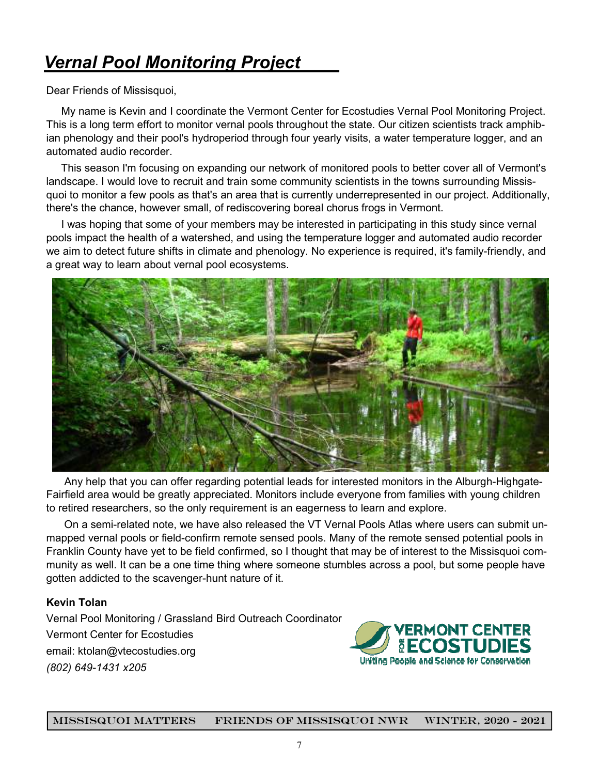# *Vernal Pool Monitoring Project\_\_\_\_*

Dear Friends of Missisquoi,

 My name is Kevin and I coordinate the Vermont Center for Ecostudies Vernal Pool Monitoring Project. This is a long term effort to monitor vernal pools throughout the state. Our citizen scientists track amphibian phenology and their pool's hydroperiod through four yearly visits, a water temperature logger, and an automated audio recorder.

 This season I'm focusing on expanding our network of monitored pools to better cover all of Vermont's landscape. I would love to recruit and train some community scientists in the towns surrounding Missisquoi to monitor a few pools as that's an area that is currently underrepresented in our project. Additionally, there's the chance, however small, of rediscovering boreal chorus frogs in Vermont.

 I was hoping that some of your members may be interested in participating in this study since vernal pools impact the health of a watershed, and using the temperature logger and automated audio recorder we aim to detect future shifts in climate and phenology. No experience is required, it's family-friendly, and a great way to learn about vernal pool ecosystems.



 Any help that you can offer regarding potential leads for interested monitors in the Alburgh-Highgate-Fairfield area would be greatly appreciated. Monitors include everyone from families with young children to retired researchers, so the only requirement is an eagerness to learn and explore.

 On a semi-related note, we have also released the VT Vernal Pools Atlas where users can submit unmapped vernal pools or field-confirm remote sensed pools. Many of the remote sensed potential pools in Franklin County have yet to be field confirmed, so I thought that may be of interest to the Missisquoi community as well. It can be a one time thing where someone stumbles across a pool, but some people have gotten addicted to the scavenger-hunt nature of it.

#### **Kevin Tolan**

Vernal Pool Monitoring / Grassland Bird Outreach Coordinator Vermont Center for Ecostudies email: ktolan@vtecostudies.org *(802) 649-1431 x205*

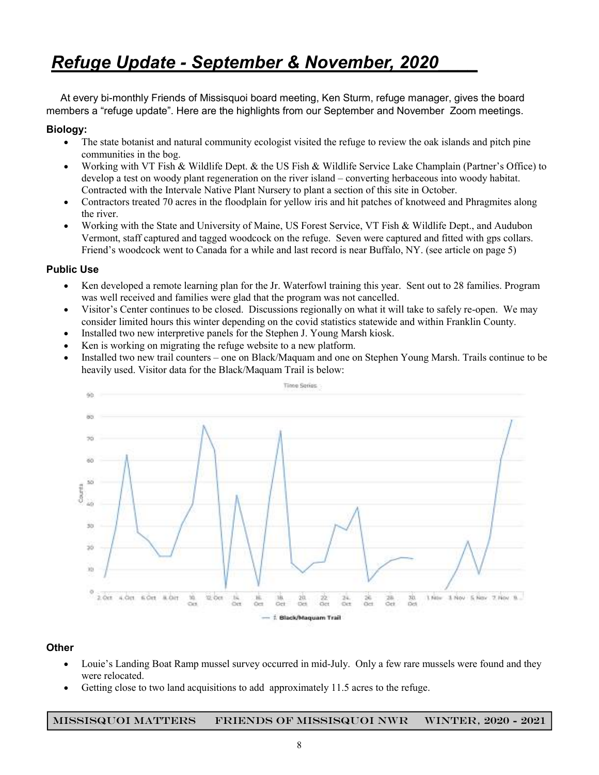# *Refuge Update - September & November, 2020\_\_\_\_*

 At every bi-monthly Friends of Missisquoi board meeting, Ken Sturm, refuge manager, gives the board members a "refuge update". Here are the highlights from our September and November Zoom meetings.

#### **Biology:**

- The state botanist and natural community ecologist visited the refuge to review the oak islands and pitch pine communities in the bog.
- Working with VT Fish & Wildlife Dept. & the US Fish & Wildlife Service Lake Champlain (Partner's Office) to develop a test on woody plant regeneration on the river island – converting herbaceous into woody habitat. Contracted with the Intervale Native Plant Nursery to plant a section of this site in October.
- Contractors treated 70 acres in the floodplain for yellow iris and hit patches of knotweed and Phragmites along the river.
- Working with the State and University of Maine, US Forest Service, VT Fish & Wildlife Dept., and Audubon Vermont, staff captured and tagged woodcock on the refuge. Seven were captured and fitted with gps collars. Friend's woodcock went to Canada for a while and last record is near Buffalo, NY. (see article on page 5)

#### **Public Use**

- Ken developed a remote learning plan for the Jr. Waterfowl training this year. Sent out to 28 families. Program was well received and families were glad that the program was not cancelled.
- Visitor's Center continues to be closed. Discussions regionally on what it will take to safely re-open. We may consider limited hours this winter depending on the covid statistics statewide and within Franklin County.
- Installed two new interpretive panels for the Stephen J. Young Marsh kiosk.
- Ken is working on migrating the refuge website to a new platform.
- Installed two new trail counters one on Black/Maquam and one on Stephen Young Marsh. Trails continue to be heavily used. Visitor data for the Black/Maquam Trail is below:



#### **Other**

- Louie's Landing Boat Ramp mussel survey occurred in mid-July. Only a few rare mussels were found and they were relocated.
- Getting close to two land acquisitions to add approximately 11.5 acres to the refuge.